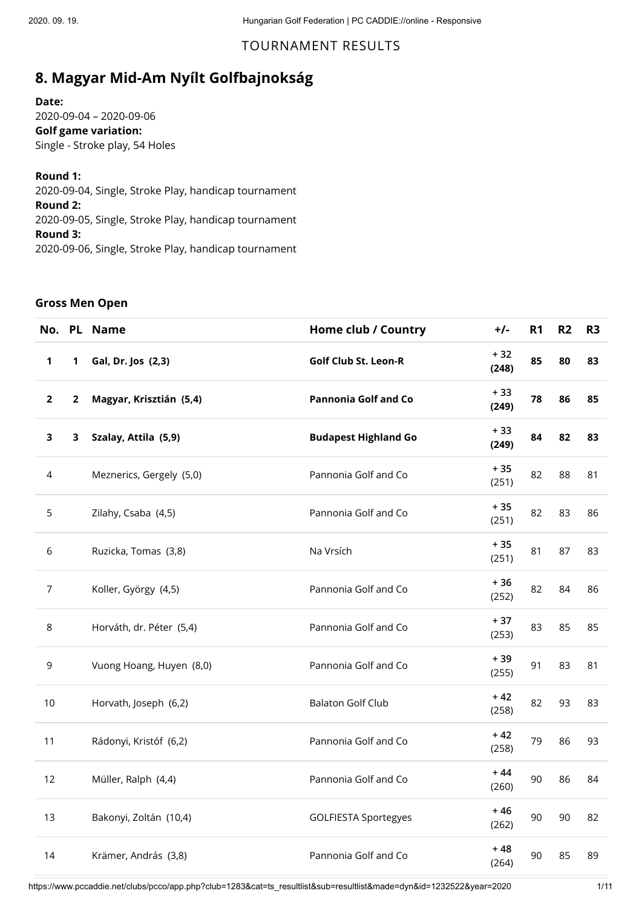## TOURNAMENT RESULTS

# **8. Magyar Mid-Am Nyílt Golfbajnokság**

**Date:**

2020-09-04 – 2020-09-06 **Golf game variation:** Single - Stroke play, 54 Holes

**Round 1:**

2020-09-04, Single, Stroke Play, handicap tournament **Round 2:** 2020-09-05, Single, Stroke Play, handicap tournament **Round 3:** 2020-09-06, Single, Stroke Play, handicap tournament

#### **Gross Men Open**

| No.            |   | PL Name                  | Home club / Country         | $+/-$          | R <sub>1</sub> | R2 | R <sub>3</sub> |
|----------------|---|--------------------------|-----------------------------|----------------|----------------|----|----------------|
| 1              | 1 | Gal, Dr. Jos (2,3)       | <b>Golf Club St. Leon-R</b> | $+32$<br>(248) | 85             | 80 | 83             |
| $\mathbf 2$    | 2 | Magyar, Krisztián (5,4)  | <b>Pannonia Golf and Co</b> | $+33$<br>(249) | 78             | 86 | 85             |
| 3              | 3 | Szalay, Attila (5,9)     | <b>Budapest Highland Go</b> | $+33$<br>(249) | 84             | 82 | 83             |
| 4              |   | Meznerics, Gergely (5,0) | Pannonia Golf and Co        | $+35$<br>(251) | 82             | 88 | 81             |
| 5              |   | Zilahy, Csaba (4,5)      | Pannonia Golf and Co        | $+35$<br>(251) | 82             | 83 | 86             |
| 6              |   | Ruzicka, Tomas (3,8)     | Na Vrsích                   | $+35$<br>(251) | 81             | 87 | 83             |
| $\overline{7}$ |   | Koller, György (4,5)     | Pannonia Golf and Co        | $+36$<br>(252) | 82             | 84 | 86             |
| 8              |   | Horváth, dr. Péter (5,4) | Pannonia Golf and Co        | $+37$<br>(253) | 83             | 85 | 85             |
| 9              |   | Vuong Hoang, Huyen (8,0) | Pannonia Golf and Co        | $+39$<br>(255) | 91             | 83 | 81             |
| 10             |   | Horvath, Joseph (6,2)    | <b>Balaton Golf Club</b>    | $+42$<br>(258) | 82             | 93 | 83             |
| 11             |   | Rádonyi, Kristóf (6,2)   | Pannonia Golf and Co        | $+42$<br>(258) | 79             | 86 | 93             |
| 12             |   | Müller, Ralph (4,4)      | Pannonia Golf and Co        | $+44$<br>(260) | 90             | 86 | 84             |
| 13             |   | Bakonyi, Zoltán (10,4)   | <b>GOLFIESTA Sportegyes</b> | $+46$<br>(262) | 90             | 90 | 82             |
| 14             |   | Krämer, András (3,8)     | Pannonia Golf and Co        | $+48$<br>(264) | 90             | 85 | 89             |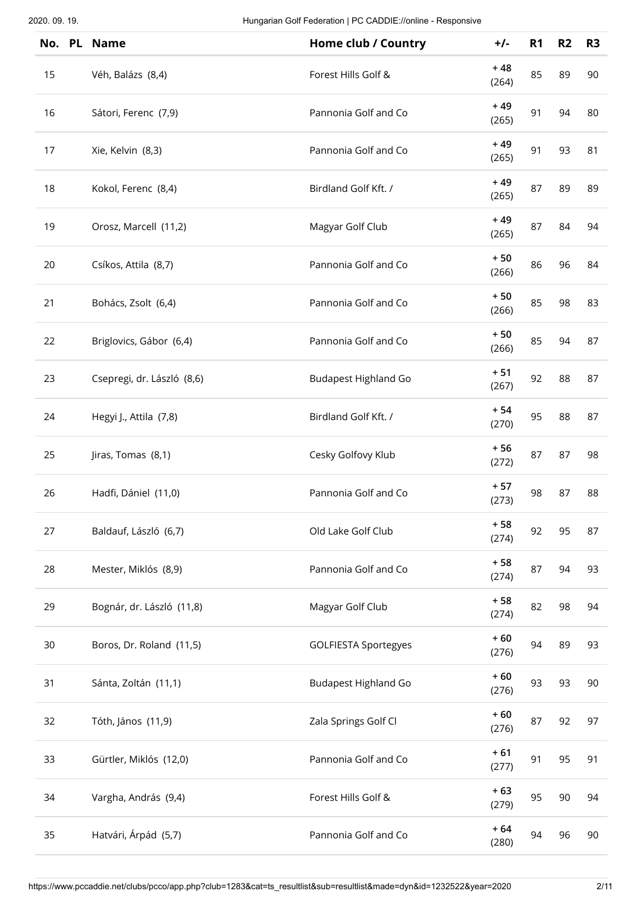|    | No. PL Name                | Home club / Country         | $+/-$          | R <sub>1</sub> | R <sub>2</sub> | R <sub>3</sub> |
|----|----------------------------|-----------------------------|----------------|----------------|----------------|----------------|
| 15 | Véh, Balázs (8,4)          | Forest Hills Golf &         | $+48$<br>(264) | 85             | 89             | 90             |
| 16 | Sátori, Ferenc (7,9)       | Pannonia Golf and Co        | $+49$<br>(265) | 91             | 94             | 80             |
| 17 | Xie, Kelvin (8,3)          | Pannonia Golf and Co        | $+49$<br>(265) | 91             | 93             | 81             |
| 18 | Kokol, Ferenc (8,4)        | Birdland Golf Kft. /        | $+49$<br>(265) | 87             | 89             | 89             |
| 19 | Orosz, Marcell (11,2)      | Magyar Golf Club            | $+49$<br>(265) | 87             | 84             | 94             |
| 20 | Csíkos, Attila (8,7)       | Pannonia Golf and Co        | $+50$<br>(266) | 86             | 96             | 84             |
| 21 | Bohács, Zsolt (6,4)        | Pannonia Golf and Co        | $+50$<br>(266) | 85             | 98             | 83             |
| 22 | Briglovics, Gábor (6,4)    | Pannonia Golf and Co        | $+50$<br>(266) | 85             | 94             | 87             |
| 23 | Csepregi, dr. László (8,6) | <b>Budapest Highland Go</b> | $+51$<br>(267) | 92             | 88             | 87             |
| 24 | Hegyi J., Attila (7,8)     | Birdland Golf Kft. /        | $+54$<br>(270) | 95             | 88             | 87             |
| 25 | Jiras, Tomas (8,1)         | Cesky Golfovy Klub          | $+56$<br>(272) | 87             | 87             | 98             |
| 26 | Hadfi, Dániel (11,0)       | Pannonia Golf and Co        | $+57$<br>(273) | 98             | 87             | 88             |
| 27 | Baldauf, László (6,7)      | Old Lake Golf Club          | $+58$<br>(274) | 92             | 95             | 87             |
| 28 | Mester, Miklós (8,9)       | Pannonia Golf and Co        | $+58$<br>(274) | 87             | 94             | 93             |
| 29 | Bognár, dr. László (11,8)  | Magyar Golf Club            | $+58$<br>(274) | 82             | 98             | 94             |
| 30 | Boros, Dr. Roland (11,5)   | <b>GOLFIESTA Sportegyes</b> | $+60$<br>(276) | 94             | 89             | 93             |
| 31 | Sánta, Zoltán (11,1)       | <b>Budapest Highland Go</b> | $+60$<br>(276) | 93             | 93             | 90             |
| 32 | Tóth, János (11,9)         | Zala Springs Golf Cl        | $+60$<br>(276) | 87             | 92             | 97             |
| 33 | Gürtler, Miklós (12,0)     | Pannonia Golf and Co        | $+61$<br>(277) | 91             | 95             | 91             |
| 34 | Vargha, András (9,4)       | Forest Hills Golf &         | $+63$<br>(279) | 95             | 90             | 94             |
| 35 | Hatvári, Árpád (5,7)       | Pannonia Golf and Co        | $+64$<br>(280) | 94             | 96             | 90             |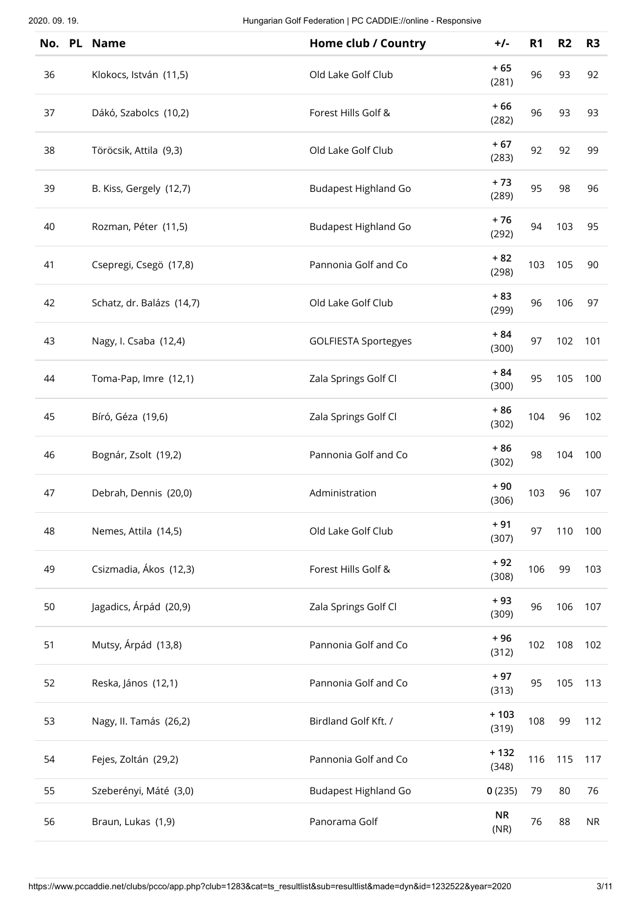| No. | PL Name                   | Home club / Country         | $+/-$             | R <sub>1</sub> | R <sub>2</sub> | R <sub>3</sub> |
|-----|---------------------------|-----------------------------|-------------------|----------------|----------------|----------------|
| 36  | Klokocs, István (11,5)    | Old Lake Golf Club          | $+65$<br>(281)    | 96             | 93             | 92             |
| 37  | Dákó, Szabolcs (10,2)     | Forest Hills Golf &         | $+66$<br>(282)    | 96             | 93             | 93             |
| 38  | Töröcsik, Attila (9,3)    | Old Lake Golf Club          | $+67$<br>(283)    | 92             | 92             | 99             |
| 39  | B. Kiss, Gergely (12,7)   | <b>Budapest Highland Go</b> | $+73$<br>(289)    | 95             | 98             | 96             |
| 40  | Rozman, Péter (11,5)      | <b>Budapest Highland Go</b> | $+76$<br>(292)    | 94             | 103            | 95             |
| 41  | Csepregi, Csegö (17,8)    | Pannonia Golf and Co        | $+82$<br>(298)    | 103            | 105            | 90             |
| 42  | Schatz, dr. Balázs (14,7) | Old Lake Golf Club          | $+83$<br>(299)    | 96             | 106            | 97             |
| 43  | Nagy, I. Csaba (12,4)     | <b>GOLFIESTA Sportegyes</b> | $+84$<br>(300)    | 97             | 102            | 101            |
| 44  | Toma-Pap, Imre (12,1)     | Zala Springs Golf Cl        | $+84$<br>(300)    | 95             | 105            | 100            |
| 45  | Bíró, Géza (19,6)         | Zala Springs Golf Cl        | $+86$<br>(302)    | 104            | 96             | 102            |
| 46  | Bognár, Zsolt (19,2)      | Pannonia Golf and Co        | $+86$<br>(302)    | 98             | 104            | 100            |
| 47  | Debrah, Dennis (20,0)     | Administration              | $+90$<br>(306)    | 103            | 96             | 107            |
| 48  | Nemes, Attila (14,5)      | Old Lake Golf Club          | $+91$<br>(307)    | 97             | 110            | 100            |
| 49  | Csizmadia, Ákos (12,3)    | Forest Hills Golf &         | $+92$<br>(308)    | 106            | 99             | 103            |
| 50  | Jagadics, Árpád (20,9)    | Zala Springs Golf Cl        | $+93$<br>(309)    | 96             | 106            | 107            |
| 51  | Mutsy, Árpád (13,8)       | Pannonia Golf and Co        | $+96$<br>(312)    | 102            | 108            | 102            |
| 52  | Reska, János (12,1)       | Pannonia Golf and Co        | $+97$<br>(313)    | 95             | 105            | 113            |
| 53  | Nagy, II. Tamás (26,2)    | Birdland Golf Kft. /        | $+103$<br>(319)   | 108            | 99             | 112            |
| 54  | Fejes, Zoltán (29,2)      | Pannonia Golf and Co        | $+132$<br>(348)   | 116            | 115            | 117            |
| 55  | Szeberényi, Máté (3,0)    | <b>Budapest Highland Go</b> | 0(235)            | 79             | 80             | 76             |
| 56  | Braun, Lukas (1,9)        | Panorama Golf               | <b>NR</b><br>(NR) | 76             | 88             | <b>NR</b>      |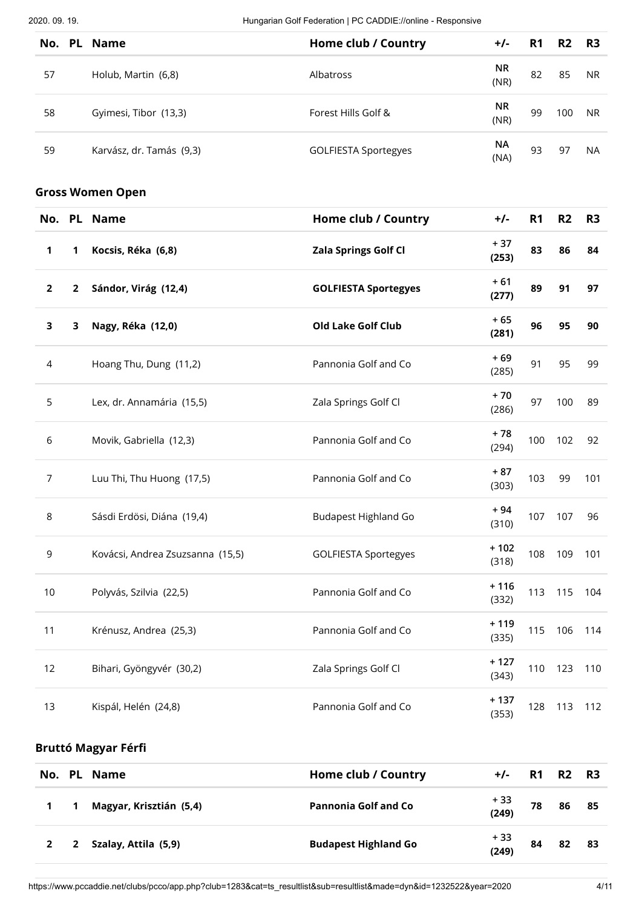2020. 09. 19. Hungarian Golf Federation | PC CADDIE://online - Responsive

|                |                | No. PL Name                      | Home club / Country         | $+/-$             | R <sub>1</sub> | R <sub>2</sub> | R <sub>3</sub> |
|----------------|----------------|----------------------------------|-----------------------------|-------------------|----------------|----------------|----------------|
| 57             |                | Holub, Martin (6,8)              | Albatross                   | <b>NR</b><br>(NR) | 82             | 85             | NR.            |
| 58             |                | Gyimesi, Tibor (13,3)            | Forest Hills Golf &         | <b>NR</b><br>(NR) | 99             | 100            | <b>NR</b>      |
| 59             |                | Karvász, dr. Tamás (9,3)         | <b>GOLFIESTA Sportegyes</b> | <b>NA</b><br>(NA) | 93             | 97             | <b>NA</b>      |
|                |                | <b>Gross Women Open</b>          |                             |                   |                |                |                |
|                |                | No. PL Name                      | Home club / Country         | $+/-$             | R <sub>1</sub> | R <sub>2</sub> | R <sub>3</sub> |
| 1              | 1              | Kocsis, Réka (6,8)               | Zala Springs Golf Cl        | $+37$<br>(253)    | 83             | 86             | 84             |
| $\mathbf{2}$   | $\overline{2}$ | Sándor, Virág (12,4)             | <b>GOLFIESTA Sportegyes</b> | $+61$<br>(277)    | 89             | 91             | 97             |
| 3              | 3              | Nagy, Réka (12,0)                | <b>Old Lake Golf Club</b>   | $+65$<br>(281)    | 96             | 95             | 90             |
| 4              |                | Hoang Thu, Dung (11,2)           | Pannonia Golf and Co        | $+69$<br>(285)    | 91             | 95             | 99             |
| 5              |                | Lex, dr. Annamária (15,5)        | Zala Springs Golf Cl        | $+70$<br>(286)    | 97             | 100            | 89             |
| 6              |                | Movik, Gabriella (12,3)          | Pannonia Golf and Co        | $+78$<br>(294)    | 100            | 102            | 92             |
| $\overline{7}$ |                | Luu Thi, Thu Huong (17,5)        | Pannonia Golf and Co        | $+87$<br>(303)    | 103            | 99             | 101            |
| 8              |                | Sásdi Erdösi, Diána (19,4)       | <b>Budapest Highland Go</b> | $+94$<br>(310)    | 107            | 107            | 96             |
| 9              |                | Kovácsi, Andrea Zsuzsanna (15,5) | <b>GOLFIESTA Sportegyes</b> | $+102$<br>(318)   | 108            | 109            | 101            |
| $10$           |                | Polyvás, Szilvia (22,5)          | Pannonia Golf and Co        | $+116$<br>(332)   | 113            | 115            | 104            |
| 11             |                | Krénusz, Andrea (25,3)           | Pannonia Golf and Co        | $+119$<br>(335)   | 115            | 106            | 114            |
| 12             |                | Bihari, Gyöngyvér (30,2)         | Zala Springs Golf Cl        | $+127$<br>(343)   | 110            | 123            | 110            |
| 13             |                | Kispál, Helén (24,8)             | Pannonia Golf and Co        | $+137$<br>(353)   | 128            | 113            | 112            |
|                |                | <b>Bruttó Magyar Férfi</b>       |                             |                   |                |                |                |
|                |                | No. PL Name                      | Home club / Country         | $+/-$             | R <sub>1</sub> | R <sub>2</sub> | R <sub>3</sub> |
| 1              | 1              | Magyar, Krisztián (5,4)          | <b>Pannonia Golf and Co</b> | $+33$<br>(240)    | 78             | 86             | 85             |

|  | IVIAKYAI, NIISZLIAII (J,4) | Pallifoliid Golf allu Co    | (249)         | 70 | oo | ാ  |
|--|----------------------------|-----------------------------|---------------|----|----|----|
|  | 2 2 Szalay, Attila (5,9)   | <b>Budapest Highland Go</b> | + 33<br>(249) | 84 | 82 | 83 |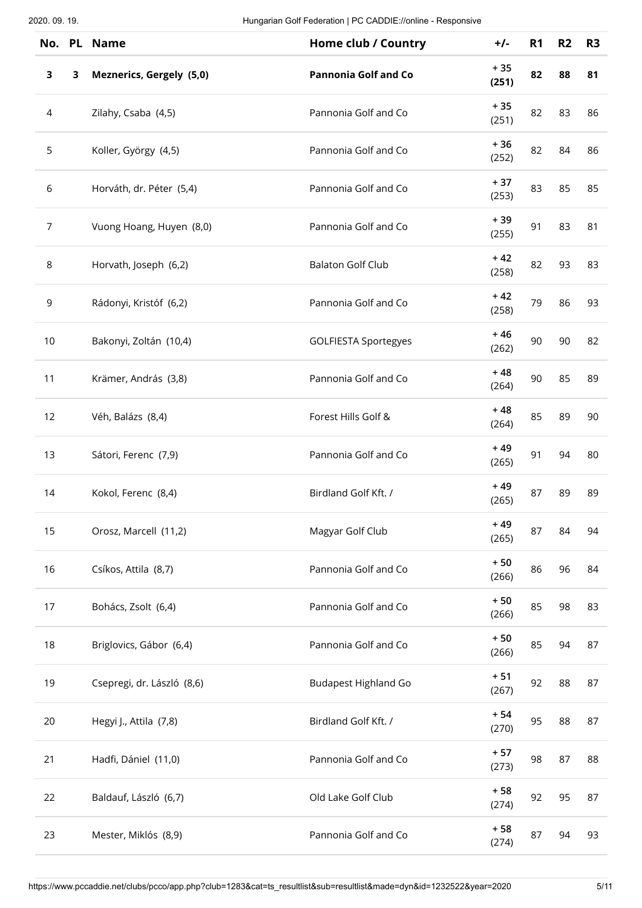| No.            |   | PL Name                    | Home club / Country         | $+/-$          | R <sub>1</sub> | R <sub>2</sub> | R <sub>3</sub> |
|----------------|---|----------------------------|-----------------------------|----------------|----------------|----------------|----------------|
| $\mathbf{3}$   | 3 | Meznerics, Gergely (5,0)   | <b>Pannonia Golf and Co</b> | $+35$<br>(251) | 82             | 88             | 81             |
| $\overline{a}$ |   | Zilahy, Csaba (4,5)        | Pannonia Golf and Co        | $+35$<br>(251) | 82             | 83             | 86             |
| 5              |   | Koller, György (4,5)       | Pannonia Golf and Co        | $+36$<br>(252) | 82             | 84             | 86             |
| 6              |   | Horváth, dr. Péter (5,4)   | Pannonia Golf and Co        | $+37$<br>(253) | 83             | 85             | 85             |
| $\overline{7}$ |   | Vuong Hoang, Huyen (8,0)   | Pannonia Golf and Co        | $+39$<br>(255) | 91             | 83             | 81             |
| 8              |   | Horvath, Joseph (6,2)      | <b>Balaton Golf Club</b>    | $+42$<br>(258) | 82             | 93             | 83             |
| $\mathsf 9$    |   | Rádonyi, Kristóf (6,2)     | Pannonia Golf and Co        | $+42$<br>(258) | 79             | 86             | 93             |
| 10             |   | Bakonyi, Zoltán (10,4)     | <b>GOLFIESTA Sportegyes</b> | $+46$<br>(262) | 90             | 90             | 82             |
| 11             |   | Krämer, András (3,8)       | Pannonia Golf and Co        | $+48$<br>(264) | 90             | 85             | 89             |
| 12             |   | Véh, Balázs (8,4)          | Forest Hills Golf &         | $+48$<br>(264) | 85             | 89             | 90             |
| 13             |   | Sátori, Ferenc (7,9)       | Pannonia Golf and Co        | $+49$<br>(265) | 91             | 94             | 80             |
| 14             |   | Kokol, Ferenc (8,4)        | Birdland Golf Kft. /        | $+49$<br>(265) | 87             | 89             | 89             |
| 15             |   | Orosz, Marcell (11,2)      | Magyar Golf Club            | $+49$<br>(265) | 87             | 84             | 94             |
| 16             |   | Csíkos, Attila (8,7)       | Pannonia Golf and Co        | $+50$<br>(266) | 86             | 96             | 84             |
| 17             |   | Bohács, Zsolt (6,4)        | Pannonia Golf and Co        | $+50$<br>(266) | 85             | 98             | 83             |
| 18             |   | Briglovics, Gábor (6,4)    | Pannonia Golf and Co        | $+50$<br>(266) | 85             | 94             | 87             |
| 19             |   | Csepregi, dr. László (8,6) | <b>Budapest Highland Go</b> | $+51$<br>(267) | 92             | 88             | 87             |
| 20             |   | Hegyi J., Attila (7,8)     | Birdland Golf Kft. /        | $+54$<br>(270) | 95             | 88             | 87             |
| 21             |   | Hadfi, Dániel (11,0)       | Pannonia Golf and Co        | $+57$<br>(273) | 98             | 87             | 88             |
| 22             |   | Baldauf, László (6,7)      | Old Lake Golf Club          | $+58$<br>(274) | 92             | 95             | 87             |
| 23             |   | Mester, Miklós (8,9)       | Pannonia Golf and Co        | $+58$<br>(274) | 87             | 94             | 93             |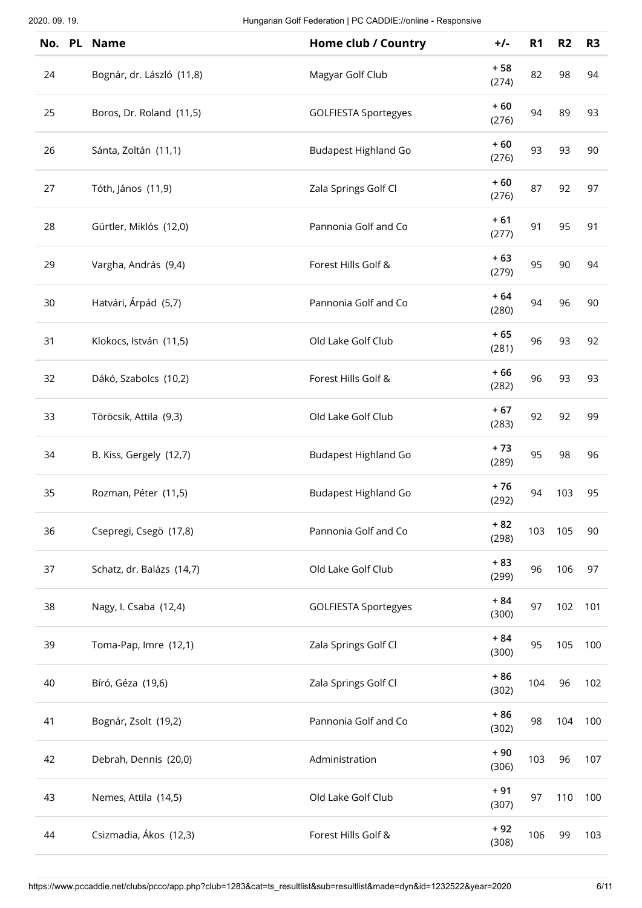| No. PL | <b>Name</b>               | Home club / Country         | $+/-$          | R <sub>1</sub> | R <sub>2</sub> | R <sub>3</sub> |
|--------|---------------------------|-----------------------------|----------------|----------------|----------------|----------------|
| 24     | Bognár, dr. László (11,8) | Magyar Golf Club            | $+58$<br>(274) | 82             | 98             | 94             |
| 25     | Boros, Dr. Roland (11,5)  | <b>GOLFIESTA Sportegyes</b> | $+60$<br>(276) | 94             | 89             | 93             |
| 26     | Sánta, Zoltán (11,1)      | <b>Budapest Highland Go</b> | $+60$<br>(276) | 93             | 93             | 90             |
| 27     | Tóth, János (11,9)        | Zala Springs Golf Cl        | $+60$<br>(276) | 87             | 92             | 97             |
| 28     | Gürtler, Miklós (12,0)    | Pannonia Golf and Co        | $+61$<br>(277) | 91             | 95             | 91             |
| 29     | Vargha, András (9,4)      | Forest Hills Golf &         | $+63$<br>(279) | 95             | 90             | 94             |
| 30     | Hatvári, Árpád (5,7)      | Pannonia Golf and Co        | $+64$<br>(280) | 94             | 96             | 90             |
| 31     | Klokocs, István (11,5)    | Old Lake Golf Club          | $+65$<br>(281) | 96             | 93             | 92             |
| 32     | Dákó, Szabolcs (10,2)     | Forest Hills Golf &         | $+66$<br>(282) | 96             | 93             | 93             |
| 33     | Töröcsik, Attila (9,3)    | Old Lake Golf Club          | $+67$<br>(283) | 92             | 92             | 99             |
| 34     | B. Kiss, Gergely (12,7)   | <b>Budapest Highland Go</b> | $+73$<br>(289) | 95             | 98             | 96             |
| 35     | Rozman, Péter (11,5)      | <b>Budapest Highland Go</b> | $+76$<br>(292) | 94             | 103            | 95             |
| 36     | Csepregi, Csegö (17,8)    | Pannonia Golf and Co        | $+82$<br>(298) | 103            | 105            | 90             |
| 37     | Schatz, dr. Balázs (14,7) | Old Lake Golf Club          | $+83$<br>(299) | 96             | 106            | 97             |
| 38     | Nagy, I. Csaba (12,4)     | <b>GOLFIESTA Sportegyes</b> | $+84$<br>(300) | 97             | 102            | 101            |
| 39     | Toma-Pap, Imre (12,1)     | Zala Springs Golf Cl        | $+84$<br>(300) | 95             | 105            | 100            |
| 40     | Bíró, Géza (19,6)         | Zala Springs Golf Cl        | $+86$<br>(302) | 104            | 96             | 102            |
| 41     | Bognár, Zsolt (19,2)      | Pannonia Golf and Co        | $+86$<br>(302) | 98             | 104            | 100            |
| 42     | Debrah, Dennis (20,0)     | Administration              | $+90$<br>(306) | 103            | 96             | 107            |
| 43     | Nemes, Attila (14,5)      | Old Lake Golf Club          | $+91$<br>(307) | 97             | 110            | 100            |
| 44     | Csizmadia, Ákos (12,3)    | Forest Hills Golf &         | $+92$<br>(308) | 106            | 99             | 103            |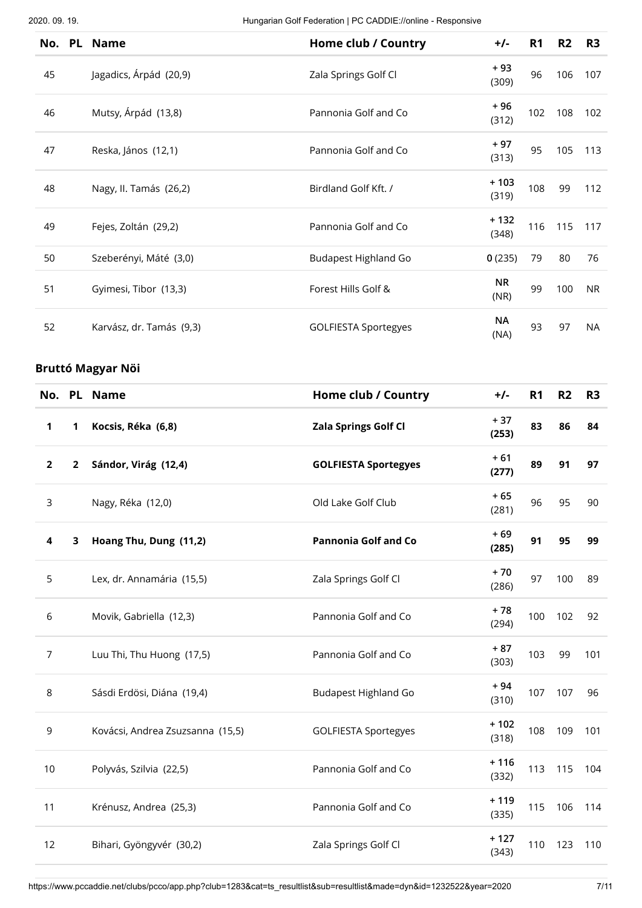|    | No. PL Name              | Home club / Country         | $+/-$             | R <sub>1</sub> | R2  | R <sub>3</sub> |
|----|--------------------------|-----------------------------|-------------------|----------------|-----|----------------|
| 45 | Jagadics, Árpád (20,9)   | Zala Springs Golf Cl        | + 93<br>(309)     | 96             | 106 | 107            |
| 46 | Mutsy, Árpád (13,8)      | Pannonia Golf and Co        | + 96<br>(312)     | 102            | 108 | 102            |
| 47 | Reska, János (12,1)      | Pannonia Golf and Co        | + 97<br>(313)     | 95             | 105 | 113            |
| 48 | Nagy, II. Tamás (26,2)   | Birdland Golf Kft. /        | $+103$<br>(319)   | 108            | 99  | 112            |
| 49 | Fejes, Zoltán (29,2)     | Pannonia Golf and Co        | $+132$<br>(348)   | 116            | 115 | 117            |
| 50 | Szeberényi, Máté (3,0)   | <b>Budapest Highland Go</b> | 0(235)            | 79             | 80  | 76             |
| 51 | Gyimesi, Tibor (13,3)    | Forest Hills Golf &         | <b>NR</b><br>(NR) | 99             | 100 | <b>NR</b>      |
| 52 | Karvász, dr. Tamás (9,3) | <b>GOLFIESTA Sportegyes</b> | ΝA<br>(NA)        | 93             | 97  | NA             |

## **Bruttó Magyar Nöi**

|                |              | No. PL Name                      | <b>Home club / Country</b>  | $+/-$           | R <sub>1</sub> | R <sub>2</sub> | R <sub>3</sub> |
|----------------|--------------|----------------------------------|-----------------------------|-----------------|----------------|----------------|----------------|
| 1              | 1            | Kocsis, Réka (6,8)               | <b>Zala Springs Golf Cl</b> | $+37$<br>(253)  | 83             | 86             | 84             |
| $\overline{2}$ | $\mathbf{2}$ | Sándor, Virág (12,4)             | <b>GOLFIESTA Sportegyes</b> | $+61$<br>(277)  | 89             | 91             | 97             |
| 3              |              | Nagy, Réka (12,0)                | Old Lake Golf Club          | $+65$<br>(281)  | 96             | 95             | 90             |
| 4              | 3            | Hoang Thu, Dung (11,2)           | <b>Pannonia Golf and Co</b> | $+69$<br>(285)  | 91             | 95             | 99             |
| 5              |              | Lex, dr. Annamária (15,5)        | Zala Springs Golf Cl        | $+70$<br>(286)  | 97             | 100            | 89             |
| 6              |              | Movik, Gabriella (12,3)          | Pannonia Golf and Co        | $+78$<br>(294)  | 100            | 102            | 92             |
| $\overline{7}$ |              | Luu Thi, Thu Huong (17,5)        | Pannonia Golf and Co        | $+87$<br>(303)  | 103            | 99             | 101            |
| $\,8\,$        |              | Sásdi Erdösi, Diána (19,4)       | <b>Budapest Highland Go</b> | $+94$<br>(310)  | 107            | 107            | 96             |
| 9              |              | Kovácsi, Andrea Zsuzsanna (15,5) | <b>GOLFIESTA Sportegyes</b> | $+102$<br>(318) | 108            | 109            | 101            |
| 10             |              | Polyvás, Szilvia (22,5)          | Pannonia Golf and Co        | $+116$<br>(332) | 113            | 115            | 104            |
| 11             |              | Krénusz, Andrea (25,3)           | Pannonia Golf and Co        | $+119$<br>(335) | 115            | 106            | 114            |
| 12             |              | Bihari, Gyöngyvér (30,2)         | Zala Springs Golf Cl        | $+127$<br>(343) | 110            | 123            | 110            |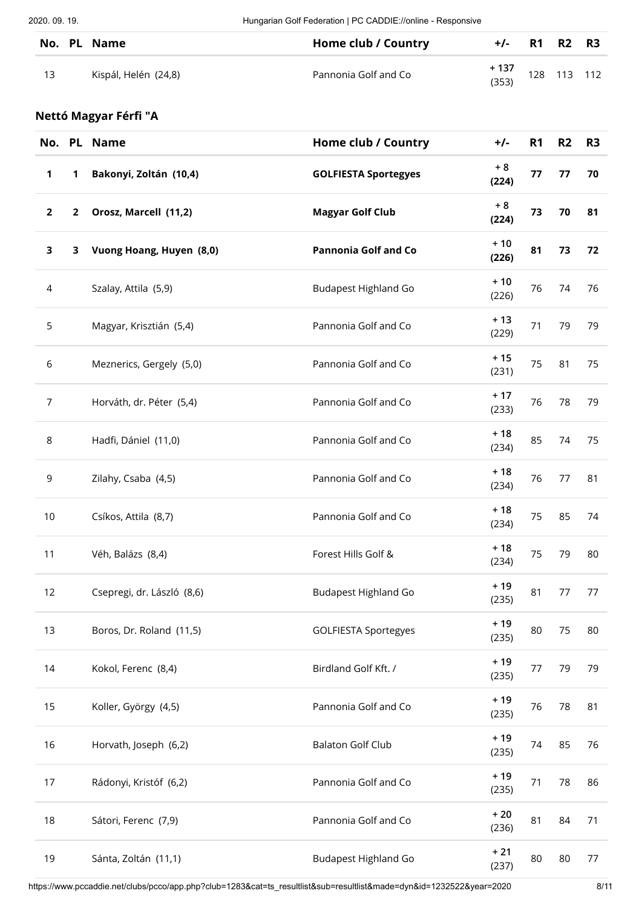|    | No. PL Name          | Home club / Country  | $+/-$ R1 R2 R3 |             |  |
|----|----------------------|----------------------|----------------|-------------|--|
| 13 | Kispál, Helén (24,8) | Pannonia Golf and Co | + 137<br>(353) | 128 113 112 |  |

## **Nettó Magyar Férfi "A**

|                |              | No. PL Name                | Home club / Country         | $+/-$          | <b>R1</b> | R2 | R <sub>3</sub> |
|----------------|--------------|----------------------------|-----------------------------|----------------|-----------|----|----------------|
| $\mathbf 1$    | 1            | Bakonyi, Zoltán (10,4)     | <b>GOLFIESTA Sportegyes</b> | $+8$<br>(224)  | 77        | 77 | 70             |
| $\mathbf{2}$   | $\mathbf{2}$ | Orosz, Marcell (11,2)      | <b>Magyar Golf Club</b>     | $+8$<br>(224)  | 73        | 70 | 81             |
| $\mathbf{3}$   | 3            | Vuong Hoang, Huyen (8,0)   | <b>Pannonia Golf and Co</b> | $+10$<br>(226) | 81        | 73 | 72             |
| $\overline{a}$ |              | Szalay, Attila (5,9)       | Budapest Highland Go        | $+10$<br>(226) | 76        | 74 | 76             |
| 5              |              | Magyar, Krisztián (5,4)    | Pannonia Golf and Co        | $+13$<br>(229) | 71        | 79 | 79             |
| 6              |              | Meznerics, Gergely (5,0)   | Pannonia Golf and Co        | $+15$<br>(231) | 75        | 81 | 75             |
| $\overline{7}$ |              | Horváth, dr. Péter (5,4)   | Pannonia Golf and Co        | $+17$<br>(233) | 76        | 78 | 79             |
| $\,8\,$        |              | Hadfi, Dániel (11,0)       | Pannonia Golf and Co        | $+18$<br>(234) | 85        | 74 | 75             |
| 9              |              | Zilahy, Csaba (4,5)        | Pannonia Golf and Co        | $+18$<br>(234) | 76        | 77 | 81             |
| 10             |              | Csíkos, Attila (8,7)       | Pannonia Golf and Co        | $+18$<br>(234) | 75        | 85 | 74             |
| 11             |              | Véh, Balázs (8,4)          | Forest Hills Golf &         | $+18$<br>(234) | 75        | 79 | 80             |
| 12             |              | Csepregi, dr. László (8,6) | Budapest Highland Go        | $+19$<br>(235) | 81        | 77 | 77             |
| 13             |              | Boros, Dr. Roland (11,5)   | <b>GOLFIESTA Sportegyes</b> | $+19$<br>(235) | 80        | 75 | 80             |
| 14             |              | Kokol, Ferenc (8,4)        | Birdland Golf Kft. /        | $+19$<br>(235) | 77        | 79 | 79             |
| 15             |              | Koller, György (4,5)       | Pannonia Golf and Co        | $+19$<br>(235) | 76        | 78 | 81             |
| 16             |              | Horvath, Joseph (6,2)      | <b>Balaton Golf Club</b>    | $+19$<br>(235) | 74        | 85 | 76             |
| 17             |              | Rádonyi, Kristóf (6,2)     | Pannonia Golf and Co        | $+19$<br>(235) | 71        | 78 | 86             |
| 18             |              | Sátori, Ferenc (7,9)       | Pannonia Golf and Co        | $+20$<br>(236) | 81        | 84 | 71             |
| 19             |              | Sánta, Zoltán (11,1)       | <b>Budapest Highland Go</b> | $+21$<br>(237) | 80        | 80 | 77             |

https://www.pccaddie.net/clubs/pcco/app.php?club=1283&cat=ts\_resultlist&sub=resultlist&made=dyn&id=1232522&year=2020 8/11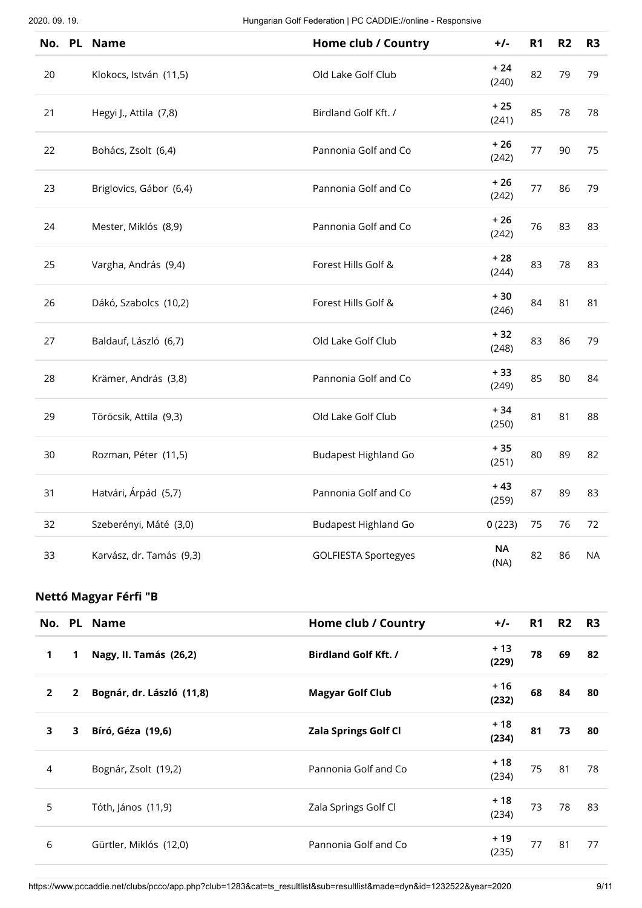| No. | PL Name                  | Home club / Country         | $+/-$             | R <sub>1</sub> | R <sub>2</sub> | R <sub>3</sub> |
|-----|--------------------------|-----------------------------|-------------------|----------------|----------------|----------------|
| 20  | Klokocs, István (11,5)   | Old Lake Golf Club          | $+24$<br>(240)    | 82             | 79             | 79             |
| 21  | Hegyi J., Attila (7,8)   | Birdland Golf Kft. /        | $+25$<br>(241)    | 85             | 78             | 78             |
| 22  | Bohács, Zsolt (6,4)      | Pannonia Golf and Co        | $+26$<br>(242)    | 77             | 90             | 75             |
| 23  | Briglovics, Gábor (6,4)  | Pannonia Golf and Co        | $+26$<br>(242)    | 77             | 86             | 79             |
| 24  | Mester, Miklós (8,9)     | Pannonia Golf and Co        | $+26$<br>(242)    | 76             | 83             | 83             |
| 25  | Vargha, András (9,4)     | Forest Hills Golf &         | $+28$<br>(244)    | 83             | 78             | 83             |
| 26  | Dákó, Szabolcs (10,2)    | Forest Hills Golf &         | $+30$<br>(246)    | 84             | 81             | 81             |
| 27  | Baldauf, László (6,7)    | Old Lake Golf Club          | $+32$<br>(248)    | 83             | 86             | 79             |
| 28  | Krämer, András (3,8)     | Pannonia Golf and Co        | $+33$<br>(249)    | 85             | 80             | 84             |
| 29  | Töröcsik, Attila (9,3)   | Old Lake Golf Club          | $+34$<br>(250)    | 81             | 81             | 88             |
| 30  | Rozman, Péter (11,5)     | <b>Budapest Highland Go</b> | $+35$<br>(251)    | 80             | 89             | 82             |
| 31  | Hatvári, Árpád (5,7)     | Pannonia Golf and Co        | $+43$<br>(259)    | 87             | 89             | 83             |
| 32  | Szeberényi, Máté (3,0)   | <b>Budapest Highland Go</b> | 0(223)            | 75             | 76             | 72             |
| 33  | Karvász, dr. Tamás (9,3) | <b>GOLFIESTA Sportegyes</b> | <b>NA</b><br>(NA) | 82             | 86             | <b>NA</b>      |

#### **Nettó Magyar Férfi "B**

|                         |                | No. PL Name               | Home club / Country         | $+/-$          | R <sub>1</sub> | R2 | <b>R3</b> |
|-------------------------|----------------|---------------------------|-----------------------------|----------------|----------------|----|-----------|
| 1                       | 1              | Nagy, II. Tamás (26,2)    | <b>Birdland Golf Kft. /</b> | + 13<br>(229)  | 78             | 69 | 82        |
| $\overline{2}$          | $\overline{2}$ | Bognár, dr. László (11,8) | <b>Magyar Golf Club</b>     | + 16<br>(232)  | 68             | 84 | 80        |
| $\overline{\mathbf{3}}$ | 3              | Bíró, Géza (19,6)         | <b>Zala Springs Golf Cl</b> | $+18$<br>(234) | 81             | 73 | 80        |
| 4                       |                | Bognár, Zsolt (19,2)      | Pannonia Golf and Co        | + 18<br>(234)  | 75             | 81 | 78        |
| 5                       |                | Tóth, János (11,9)        | Zala Springs Golf Cl        | + 18<br>(234)  | 73             | 78 | 83        |
| 6                       |                | Gürtler, Miklós (12,0)    | Pannonia Golf and Co        | + 19<br>(235)  | 77             | 81 | 77        |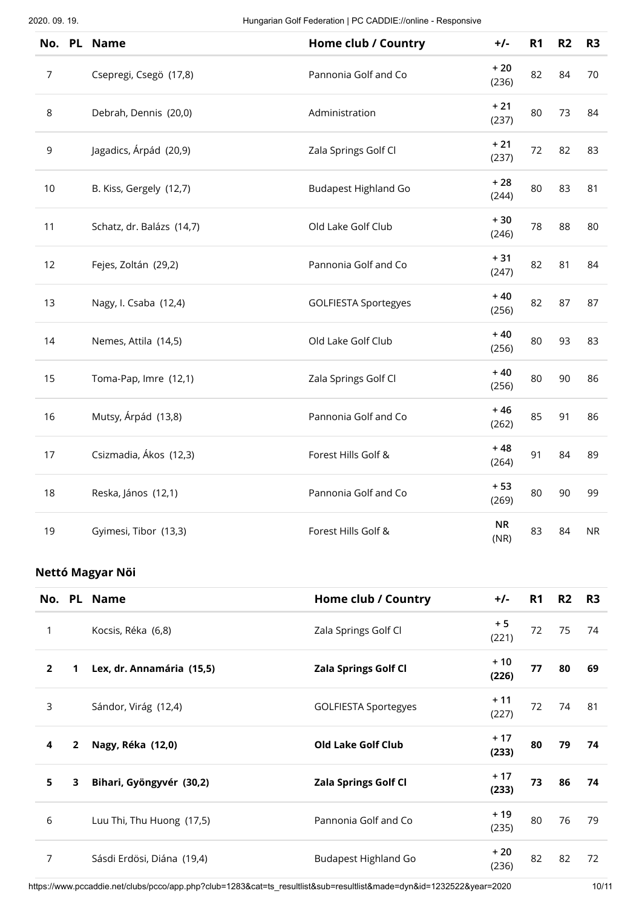| <b>PL</b><br>No. | <b>Name</b>               | Home club / Country         | $+/-$             | R <sub>1</sub> | R2 | R <sub>3</sub> |
|------------------|---------------------------|-----------------------------|-------------------|----------------|----|----------------|
| $\overline{7}$   | Csepregi, Csegö (17,8)    | Pannonia Golf and Co        | $+20$<br>(236)    | 82             | 84 | 70             |
| 8                | Debrah, Dennis (20,0)     | Administration              | $+21$<br>(237)    | 80             | 73 | 84             |
| 9                | Jagadics, Árpád (20,9)    | Zala Springs Golf Cl        | $+21$<br>(237)    | 72             | 82 | 83             |
| 10               | B. Kiss, Gergely (12,7)   | <b>Budapest Highland Go</b> | $+28$<br>(244)    | 80             | 83 | 81             |
| 11               | Schatz, dr. Balázs (14,7) | Old Lake Golf Club          | $+30$<br>(246)    | 78             | 88 | 80             |
| 12               | Fejes, Zoltán (29,2)      | Pannonia Golf and Co        | $+31$<br>(247)    | 82             | 81 | 84             |
| 13               | Nagy, I. Csaba (12,4)     | <b>GOLFIESTA Sportegyes</b> | $+40$<br>(256)    | 82             | 87 | 87             |
| 14               | Nemes, Attila (14,5)      | Old Lake Golf Club          | $+40$<br>(256)    | 80             | 93 | 83             |
| 15               | Toma-Pap, Imre (12,1)     | Zala Springs Golf Cl        | $+40$<br>(256)    | 80             | 90 | 86             |
| 16               | Mutsy, Árpád (13,8)       | Pannonia Golf and Co        | $+46$<br>(262)    | 85             | 91 | 86             |
| 17               | Csizmadia, Ákos (12,3)    | Forest Hills Golf &         | $+48$<br>(264)    | 91             | 84 | 89             |
| 18               | Reska, János (12,1)       | Pannonia Golf and Co        | $+53$<br>(269)    | 80             | 90 | 99             |
| 19               | Gyimesi, Tibor (13,3)     | Forest Hills Golf &         | <b>NR</b><br>(NR) | 83             | 84 | <b>NR</b>      |

#### **Nettó Magyar Nöi**

|                |                | No. PL Name                | Home club / Country         | $+/-$          | R1 | R <sub>2</sub> | R3  |
|----------------|----------------|----------------------------|-----------------------------|----------------|----|----------------|-----|
| 1              |                | Kocsis, Réka (6,8)         | Zala Springs Golf Cl        | $+5$<br>(221)  | 72 | 75             | 74  |
| $\overline{2}$ | 1              | Lex, dr. Annamária (15,5)  | <b>Zala Springs Golf Cl</b> | $+10$<br>(226) | 77 | 80             | 69  |
| 3              |                | Sándor, Virág (12,4)       | <b>GOLFIESTA Sportegyes</b> | $+11$<br>(227) | 72 | 74             | -81 |
| 4              | $\overline{2}$ | Nagy, Réka (12,0)          | <b>Old Lake Golf Club</b>   | $+17$<br>(233) | 80 | 79             | 74  |
| 5              | 3              | Bihari, Gyöngyvér (30,2)   | <b>Zala Springs Golf Cl</b> | $+17$<br>(233) | 73 | 86             | 74  |
| 6              |                | Luu Thi, Thu Huong (17,5)  | Pannonia Golf and Co        | $+19$<br>(235) | 80 | 76             | 79  |
| 7              |                | Sásdi Erdösi, Diána (19,4) | <b>Budapest Highland Go</b> | $+20$<br>(236) | 82 | 82             | 72  |